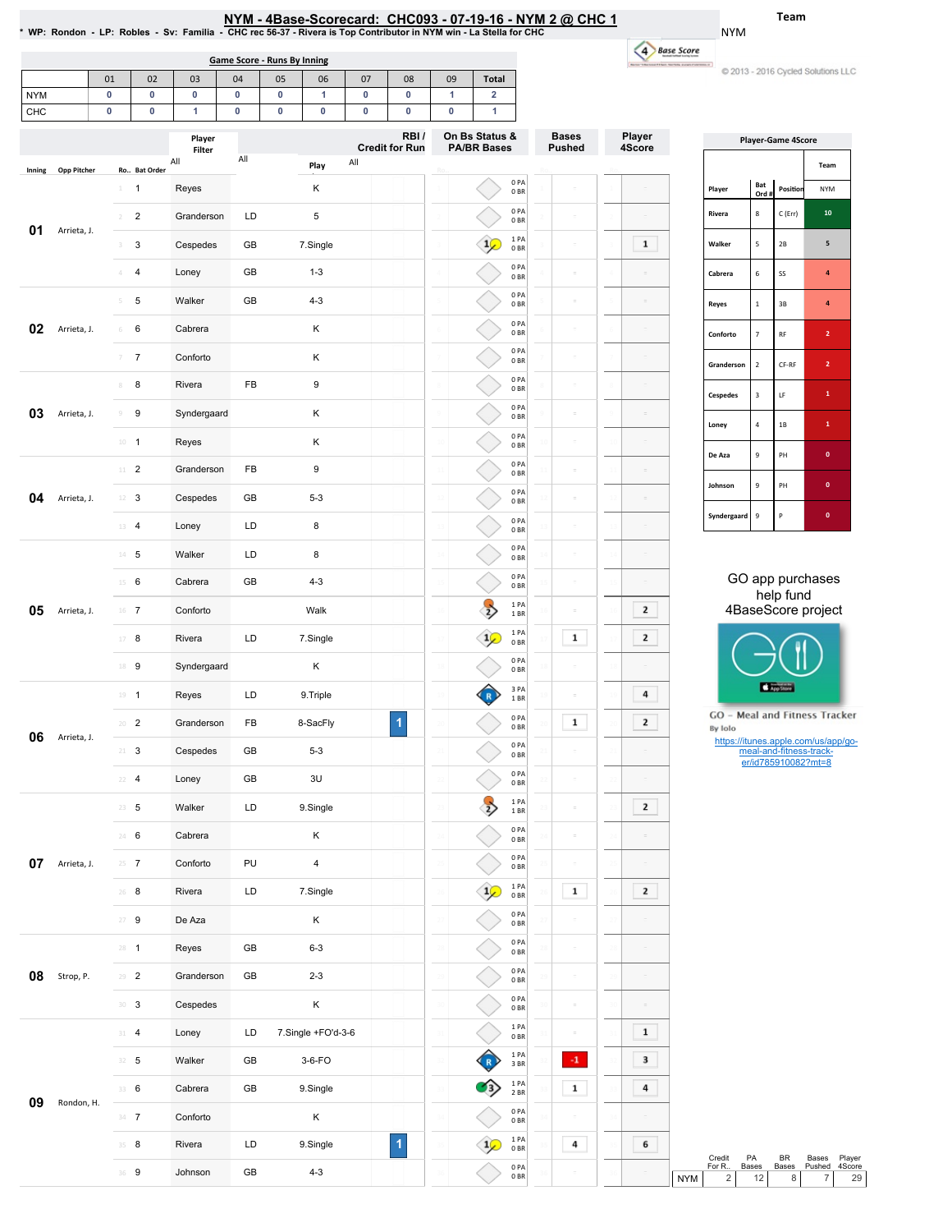NYM-4Base-Scorecard: CHC093-07-19-16-NYM2@ CHC1; \* NP: Rondon-La Stella for CHC<br>\* WP: Rondon - LP: Robles - Sv: Familia - CHC rec 56-37 - Rivera is Top Contributor in NYM win - La Stella for CHC

Team

18. m C 2013 - 2016 Cycled Solutions LLC

NYM

|                              |                                           |                         |                 | <b>Game Score - Runs By Inning</b> |           |                               |           |                                      |                                              |                               |                  |
|------------------------------|-------------------------------------------|-------------------------|-----------------|------------------------------------|-----------|-------------------------------|-----------|--------------------------------------|----------------------------------------------|-------------------------------|------------------|
| <b>NYM</b>                   | 01<br>02<br>$\pmb{0}$<br>0                | 03<br>0                 | 04<br>$\pmb{0}$ | 05<br>06<br>$\pmb{0}$<br>1         | 07<br>0   | 08<br>$\pmb{0}$               | 09<br>1   | <b>Total</b><br>$\mathbf 2$          |                                              |                               |                  |
| CHC                          | $\pmb{0}$<br>$\pmb{0}$                    | 1                       | $\pmb{0}$       | $\pmb{0}$<br>$\pmb{0}$             | $\pmb{0}$ | $\pmb{0}$                     | $\pmb{0}$ | 1                                    |                                              |                               |                  |
|                              |                                           | Player<br>Filter<br>All | All             |                                    | All       | RBI/<br><b>Credit for Run</b> |           | On Bs Status &<br><b>PA/BR Bases</b> |                                              | <b>Bases</b><br><b>Pushed</b> | Player<br>4Score |
| <b>Opp Pitcher</b><br>Inning | Ro Bat Order                              |                         |                 | Play                               |           |                               |           |                                      | 0PA                                          |                               |                  |
|                              | 1<br>1                                    | Reyes                   |                 | Κ                                  |           |                               |           |                                      | 0BR<br>0PA                                   |                               |                  |
| 01<br>Arrieta, J.            | $\overline{2}$<br>$\mathcal{I}$<br>3<br>3 | Granderson<br>Cespedes  | LD<br>GB        | 5<br>7.Single                      |           |                               |           | $\frac{1}{2}$                        | 0BR<br>1PA                                   | $\overline{a}$<br>$\equiv$    | ${\bf 1}$        |
|                              | 4<br>4                                    | Loney                   | GB              | $1 - 3$                            |           |                               |           |                                      | 0 <sub>BR</sub><br>0PA                       | $\overline{a}$                |                  |
|                              | 5<br>5                                    | Walker                  | GB              | $4 - 3$                            |           |                               |           |                                      | 0BR<br>0PA                                   | $\sim$                        |                  |
| 02<br>Arrieta, J.            | 6<br>6                                    | Cabrera                 |                 | Κ                                  |           |                               |           |                                      | 0 <sub>BR</sub><br>0PA<br>0BR                | $\equiv$                      |                  |
|                              | $\boldsymbol{7}$<br>7                     | Conforto                |                 | Κ                                  |           |                               |           |                                      | 0PA<br>0 <sub>BR</sub>                       | $\equiv$                      |                  |
|                              | 8<br>$\,$ 8                               | Rivera                  | FB              | 9                                  |           |                               |           |                                      | 0 PA<br>0B                                   |                               |                  |
| 03<br>Arrieta, J.            | 9<br>9                                    | Syndergaard             |                 | Κ                                  |           |                               |           |                                      | 0PA<br>0 <sub>BR</sub>                       | ö                             |                  |
|                              | $10 -$<br>$\mathbf{1}$                    | Reyes                   |                 | Κ                                  |           |                               |           |                                      | 0 PA<br>0 <sub>BR</sub>                      | ٠                             |                  |
|                              | $\overline{2}$<br>$11 -$                  | Granderson              | FB              | 9                                  |           |                               |           |                                      | 0PA<br>0BR                                   | $\equiv$                      |                  |
| 04<br>Arrieta, J.            | 3<br>12                                   | Cespedes                | GB              | $5 - 3$                            |           |                               |           |                                      | 0PA<br>0BR                                   |                               |                  |
|                              | $\overline{4}$<br>13                      | Loney                   | LD              | 8                                  |           |                               |           |                                      | 0PA<br>0BR                                   | $\equiv$                      |                  |
|                              | 5<br>$14 -$                               | Walker                  | LD              | 8                                  |           |                               |           |                                      | 0PA<br>0BR                                   | ٠                             |                  |
|                              | 6<br>15                                   | Cabrera                 | GB              | $4 - 3$                            |           |                               |           |                                      | 0PA<br>0BR                                   | $\equiv$                      |                  |
| 05<br>Arrieta, J.            | $\overline{7}$<br>16                      | Conforto                |                 | Walk                               |           |                               |           |                                      | 1PA<br>1 BR                                  |                               | $\mathbf{z}$     |
|                              | 8<br>17                                   | Rivera                  | LD              | 7.Single                           |           |                               |           |                                      | 1 PA<br>0BR                                  | ${\bf 1}$                     | $\mathbf{z}$     |
|                              | 18<br>9                                   | Syndergaard             |                 | Κ                                  |           |                               |           |                                      | 0PA<br>0BR                                   |                               |                  |
|                              | $19 - 1$                                  | Reyes                   | LD              | 9.Triple                           |           |                               |           |                                      | 3 PA<br>1B                                   |                               | 4                |
| 06<br>Arrieta, J.            | $\overline{2}$<br>20                      | Granderson              | FB              | 8-SacFly                           |           | 1                             |           |                                      | 0PA<br>0 BR                                  | $\mathbf 1$                   | 2                |
|                              | $21 - 3$                                  | Cespedes                | GB              | $5 - 3$                            |           |                               |           |                                      | 0PA<br>$0\;\ensuremath{\mathsf{BR}}$         |                               |                  |
|                              | $22 - 4$                                  | Loney                   | GB              | 3U                                 |           |                               |           |                                      | 0PA<br>$0\;\ensuremath{\mathsf{BR}}$<br>1 PA |                               |                  |
|                              | $23 - 5$                                  | Walker                  | LD              | 9.Single                           |           |                               |           |                                      | $1\;\mathrm{BR}$<br>0PA                      |                               | $\mathbf{2}$     |
|                              | 24 6                                      | Cabrera                 |                 | Κ                                  |           |                               |           |                                      | $0\;\ensuremath{\mathsf{BR}}$<br>0PA         |                               |                  |
| 07<br>Arrieta, J.            | $25 \t 7$                                 | Conforto                | PU              | 4                                  |           |                               |           |                                      | $0\;\ensuremath{\mathsf{BR}}$<br>1PA         |                               |                  |
|                              | $26$ 8                                    | Rivera                  | LD              | 7.Single                           |           |                               |           | $1\sqrt{ }$                          | $0B$ R<br>0PA                                | $\mathbf 1$                   | $\mathbf{2}$     |
|                              | $27 - 9$                                  | De Aza                  |                 | Κ                                  |           |                               |           |                                      | $0\;\ensuremath{\mathsf{BR}}$<br>0PA         |                               |                  |
| Strop, P.                    | $28 - 1$<br>$29 - 2$                      | Reyes<br>Granderson     | GB<br>GB        | $6 - 3$<br>$2 - 3$                 |           |                               |           |                                      | 0B<br>0PA                                    |                               |                  |
| 08                           | $30-3$                                    | Cespedes                |                 | Κ                                  |           |                               |           |                                      | $0\;\mathrm{BR}$<br>0PA                      |                               |                  |
|                              | $31 - 4$                                  | Loney                   | LD              | 7.Single +FO'd-3-6                 |           |                               |           |                                      | 0B<br>1 PA                                   |                               | $\mathbf{1}$     |
|                              | $32 - 5$                                  | Walker                  | GB              | 3-6-FO                             |           |                               |           |                                      | $0\;\mathrm{BR}$<br>$1\ \mathsf{PA}$         | $\cdot 1$                     | 3                |
|                              | 33 6                                      | Cabrera                 | GB              | 9.Single                           |           |                               |           |                                      | $3\;\mathrm{BR}$<br>1PA                      | $\mathbf{1}$                  | 4                |
| 09<br>Rondon, H.             | $34-7$                                    | Conforto                |                 | Κ                                  |           |                               |           |                                      | 2 BR<br>$0$ PA<br>0B                         |                               |                  |

35 8 Rivera LD 9.Single 36 9 Johnson GB 4-3

34 35 36

1PA 0BR 0PA 0BR 34 35 36

 $\begin{bmatrix} 1 & 0 & 0 \\ 0 & 1 & 0 \\ 0 & 0 & 0 \\ 0 & 0 & 0 \\ 0 & 0 & 0 \\ 0 & 0 & 0 \\ 0 & 0 & 0 & 0 \\ 0 & 0 & 0 & 0 \\ 0 & 0 & 0 & 0 \\ 0 & 0 & 0 & 0 & 0 \\ 0 & 0 & 0 & 0 & 0 \\ 0 & 0 & 0 & 0 & 0 \\ 0 & 0 & 0 & 0 & 0 & 0 \\ 0 & 0 & 0 & 0 & 0 & 0 \\ 0 & 0 & 0 & 0 & 0 & 0 \\ 0 & 0 & 0 & 0 & 0 & 0 \\ 0 & 0 &$  $\,$  4  $\,$ 

i.

34 35 36

 $\,$  6  $\,$ 

|                 |                | <b>Player-Game 4Score</b> |                |
|-----------------|----------------|---------------------------|----------------|
|                 |                |                           | Team           |
| Player          | Bat<br>Ord#    | Position                  | <b>NYM</b>     |
| Rivera          | 8              | C (Err)                   | 10             |
| Walker          | 5              | 2B                        | 5              |
| Cabrera         | 6              | SS                        | 4              |
| Reyes           | $\mathbf{1}$   | 3B                        | 4              |
| Conforto        | $\overline{7}$ | <b>RF</b>                 | $\overline{2}$ |
| Granderson      | $\overline{2}$ | CF-RF                     | $\overline{2}$ |
| <b>Cespedes</b> | 3              | LF                        | $\mathbf{1}$   |
| Loney           | 4              | 1B                        | 1              |
| De Aza          | 9              | PH                        | $\mathbf{0}$   |
| Johnson         | 9              | PH                        | $\bf{0}$       |
| Syndergaard     | $\overline{9}$ | P                         | $\mathbf{0}$   |

### GO app purchases help fund 4BaseScore project



**GO** - Meal and Fitness Tracker By Iolo

https://itunes.apple.com/us/app/go-meal-and-fitness-track-er/id785910082?mt=8

Credit PA BR Bases Player<br>
For R... Bases Bases Pushed 4Score<br>
NYM 2 12 8 7 29 PA Bases

BR Bases

Bases Pushed

Player 4Score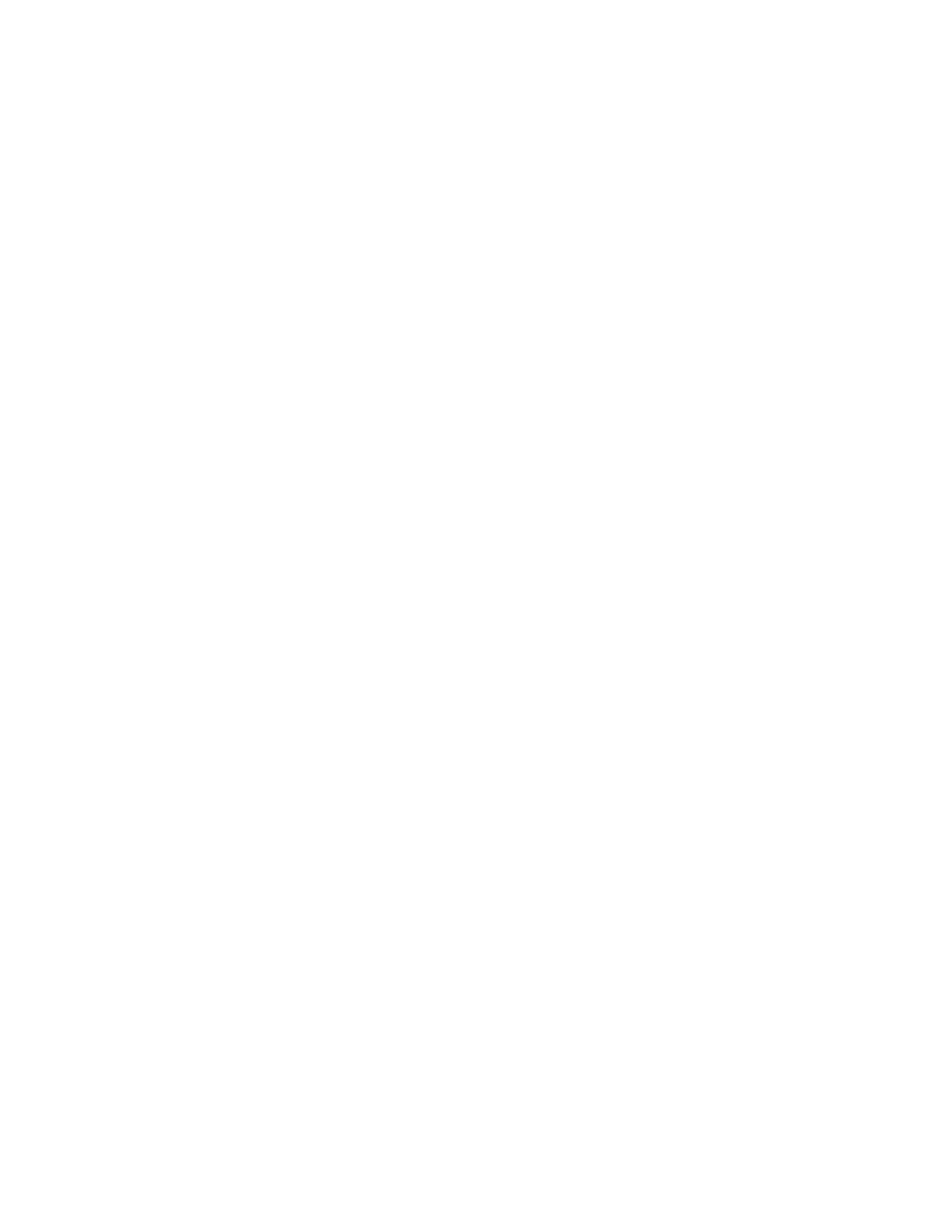| : 3 5 RQGRQ / 3 5 REOHV 6Y ) DP LOD & + & U+F |           |                                     |                               |    |                                                             |                      |                         |    |                                                         |                  |                 |                                                                  |                                     |                             |  |
|-----------------------------------------------|-----------|-------------------------------------|-------------------------------|----|-------------------------------------------------------------|----------------------|-------------------------|----|---------------------------------------------------------|------------------|-----------------|------------------------------------------------------------------|-------------------------------------|-----------------------------|--|
|                                               | ìí        | ìï<br>ìî                            | ' u ^ } Œr Zuv• C/vv]vP<br>ìð | ìñ | ìò                                                          | ìó                   | ìô                      | ìõ | d}šo                                                    |                  |                 |                                                                  |                                     |                             |  |
| 1 < 0                                         |           |                                     |                               |    |                                                             |                      |                         |    |                                                         |                  |                 |                                                                  |                                     |                             |  |
| $8 + 8$                                       |           |                                     |                               |    |                                                             |                      |                         |    |                                                         |                  |                 |                                                                  |                                     |                             |  |
|                                               |           | <b>WGCE</b><br>8]oš Œ               |                               |    |                                                             |                      | $5\%$<br>& UHGLWIRU5 XQ |    | 2 Q%V 6 VDWXV<br>3\$ %5 %DVHV                           | %DVHV<br>3 XVKHG | 30 NHJ<br>6FRUH |                                                                  | WoÇŒE u ð^}Œ                        |                             |  |
| /vv]vP K‰W)\$Z0E                              |           | $\pmb{\circledcirc}$<br>Z} XX ŠKŒ C | $\pmb{\circledcirc}$          |    | ₩Ç                                                          | $\pmb{\circledcirc}$ |                         |    | i W                                                     |                  |                 |                                                                  |                                     | d u                         |  |
|                                               | Ť.        | 5HHV                                |                               |    | $\epsilon$                                                  |                      |                         |    | i z<br>i W                                              |                  |                 | Wb Ç Œ                                                           | š<br>KŒ                             | ۷ <b>y•</b> ]Ÿ}<br>EzD      |  |
| 00≣šUX                                        | $\hat{1}$ | * UDQGHU/RQ                         | $\prime$ '                    |    |                                                             |                      |                         |    | i Z                                                     |                  |                 | ZJÀ Œ                                                            | ô                                   | $\mathbf{ii}$<br>$\sim 000$ |  |
|                                               | T         | & HVSHGHV                           | $*$ %                         |    | $61QJ$ $\Theta$                                             |                      |                         |    | í W<br>ìZ                                               |                  |                 | t of CE                                                          | ñ<br>$\hat{\mathsf{I}}$             | ñ                           |  |
|                                               | ð         | / RQH                               | $*$ %                         |    |                                                             |                      |                         |    | i W<br>ìZ                                               |                  |                 | ŒŒ                                                               | $\mathsf{v}\mathsf{v}$<br>ò         | ð                           |  |
|                                               | ñ         | $:$ DON-U                           | $*$ %                         |    |                                                             |                      |                         |    | i W<br>ìZ                                               |                  |                 | zç.                                                              | $\mathfrak{f}$<br>$\ddot{\text{I}}$ | ð                           |  |
| 00手šUX                                        | ò         | & DEUHLD                            |                               |    | $\cdot$                                                     |                      |                         |    | i W<br>$i \, z$                                         |                  |                 | $\}$ v( $\}$ OB                                                  | Z&<br>ó                             | $\  \cdot \ $               |  |
|                                               | ó         | & RORUR                             |                               |    | $\cdot$                                                     |                      |                         |    | i W<br>$i \, z$                                         |                  |                 | 'OEv OBy v                                                       | î                                   | $\mathbf{u}$<br>8rZ&        |  |
|                                               | ô         | 5 LYHUD                             | ) %                           |    |                                                             |                      |                         |    | i W<br>ìZ                                               |                  |                 | $\cdot\%$ $\cdot$                                                | $\mathcal{S}$<br>ï                  | $\mathbf{I}$                |  |
| 00手šUX                                        | õ         | 6\QGHUDDUG                          |                               |    |                                                             |                      |                         |    | i W<br>$i \, z$                                         |                  |                 |                                                                  |                                     |                             |  |
|                                               | íì.       | 5HM                                 |                               |    | $\bullet$                                                   |                      |                         |    | i W<br>i Z                                              |                  |                 | ≯v Ç                                                             | ð<br>$\mathfrak{f}$                 | $\left\vert 1\right\rangle$ |  |
|                                               | íí        | * UDQGHU/RQ                         | ) %                           |    |                                                             |                      |                         |    | i W<br>ì Z                                              |                  |                 | Ì.                                                               | W<br>õ                              | $\mathbf{1}$                |  |
| 00手šUX                                        | íî        | & HVSHGHV                           | $^*$ %                        |    |                                                             |                      |                         |    | i W                                                     |                  |                 | :} Zv•} v                                                        | W<br>õ                              | j.                          |  |
|                                               | íï        | / RQH                               | $\prime$ '                    |    |                                                             |                      |                         |    | $i$ Z<br>$\begin{array}{cc} i & W \\ i & Z \end{array}$ |                  |                 | ^Çv OP OE õ                                                      | W                                   | $\mathbf{1}$                |  |
|                                               |           |                                     |                               |    |                                                             |                      |                         |    | $\begin{array}{c} i & W \\ i & Z \end{array}$           |                  |                 |                                                                  |                                     |                             |  |
|                                               | íð        | $:$ DON-U<br>& DEUHLD               | $\prime$ '                    |    |                                                             |                      |                         |    | i W                                                     |                  |                 |                                                                  |                                     | * 2 DSS SXUFKDVHV           |  |
|                                               | íñ        |                                     | $*$ %                         |    |                                                             |                      |                         |    | i Z<br>í W                                              |                  |                 |                                                                  |                                     | KHOS IXOG                   |  |
| 00手šUX                                        | íò        | & ROIRUR                            |                               |    | : DON                                                       |                      |                         |    | $i$ Z                                                   |                  |                 |                                                                  |                                     | <b>%DM-6 FRUH SURMIFW</b>   |  |
|                                               | íó        | 5 LYHUD                             | $\prime$ '                    |    | $61QJ$ $\Theta$                                             |                      |                         |    | í W<br>ìZ                                               |                  |                 |                                                                  |                                     |                             |  |
|                                               | íô        | 6\QGHUDDUG                          |                               |    | $\mathcal{L}_{\mathcal{A}}$                                 |                      |                         |    | i W<br>i Z                                              |                  |                 |                                                                  |                                     |                             |  |
|                                               | íõ        | $5H$ HV                             | $\prime$ '                    |    | 7 ULSOH                                                     |                      |                         |    | ï W<br>í Z                                              |                  |                 | KWOSV LWACHN DSSOH FRP XV DSS JR<br>PHDODGG ILMOHAV WIDEN<br>HUB |                                     |                             |  |
| 00≣šUX                                        | $\hat{1}$ | * UDQGHU/RQ                         | ) %                           |    | $6DF)$ $Q$                                                  |                      |                         |    | i W<br>i Z                                              |                  |                 |                                                                  |                                     |                             |  |
|                                               | îí        | & HVSHGHV                           | $*$ %                         |    |                                                             |                      |                         |    | i W<br>i Z                                              |                  |                 |                                                                  |                                     |                             |  |
|                                               | $\hat{1}$ | / RCH                               | * $%$                         |    | 8                                                           |                      |                         |    | i W<br>i Z                                              |                  |                 |                                                                  |                                     | "PW                         |  |
|                                               | îï.       | $:$ DON-IU                          | $\prime$ .                    |    | $61$ $Q$ $H$                                                |                      |                         |    | í W<br>í Z                                              |                  |                 |                                                                  |                                     |                             |  |
|                                               | îŏ        | & DEUHUD                            |                               |    | $\sim$                                                      |                      |                         |    | i W<br>i Z                                              |                  |                 |                                                                  |                                     |                             |  |
| 00≣šUX                                        | îñ        | & RORUR                             | 38                            |    |                                                             |                      |                         |    | i W<br>i Z                                              |                  |                 |                                                                  |                                     |                             |  |
|                                               | îò        | 5 LYHUD                             | $\prime$ .                    |    | $61$ $Q$ $H$                                                |                      |                         |    | í W<br>i Z                                              |                  |                 |                                                                  |                                     |                             |  |
|                                               | ÎÓ        | $'$ H\$]D                           |                               |    | $\mathcal{A}^{\mathcal{A}}$ and $\mathcal{A}^{\mathcal{A}}$ |                      |                         |    | i W                                                     |                  |                 |                                                                  |                                     |                             |  |
|                                               | ÎÔ        | 5 H HV                              | $*$ %                         |    |                                                             |                      |                         |    | i Z<br>i W                                              |                  |                 |                                                                  |                                     |                             |  |
|                                               |           |                                     |                               |    |                                                             |                      |                         |    | i Z<br>i W                                              |                  |                 |                                                                  |                                     |                             |  |
| ^šQP‰WX                                       | ÎÕ        | * UDQGHU/RQ                         | $*$ %                         |    |                                                             |                      |                         |    | i Z<br>i W                                              |                  |                 |                                                                  |                                     |                             |  |
|                                               | Tì.       | & HVSHGHV                           |                               |    | $\sim 10^{-1}$                                              |                      |                         |    | i Z<br>i W                                              |                  |                 |                                                                  |                                     |                             |  |
|                                               | Tí.       | / RCH                               | $\mathcal{L}$                 |    | 6LQU <del>D</del> I) 2 G                                    |                      |                         |    | i Z<br>i W                                              |                  |                 |                                                                  |                                     |                             |  |
|                                               | ΪÎ        | $:$ DON-IU                          | $*$ %                         |    | )2                                                          |                      |                         |    | $i$ Z                                                   |                  |                 |                                                                  |                                     |                             |  |
| $Z\}$ v } vU X                                | TT.       | & DEUHUD                            | $*$ %                         |    | $61$ $Q$ $H$                                                |                      |                         |    | í W<br>$i$ Z                                            |                  |                 |                                                                  |                                     |                             |  |
|                                               | ïð        | & RORUR                             |                               |    | $\mathbf{r} = \mathbf{r}$                                   |                      |                         |    | i W<br>i Z                                              |                  |                 |                                                                  |                                     |                             |  |
|                                               | īñ        | 5 LYHUD                             | $\prime$ .                    |    | 6 LQJ <del>01</del>                                         |                      |                         |    | i W<br>i Z                                              |                  |                 | &UHGLW 3\$                                                       | %5                                  | %DM-N 30MH                  |  |
|                                               | ïò        | - RKQVRQ                            | $*$ %                         |    |                                                             |                      |                         |    | i W<br>i Z                                              |                  |                 | ) RU5<br>$1<0$                                                   | %DVHV                               | %DM-M 3XWHG 6FRU            |  |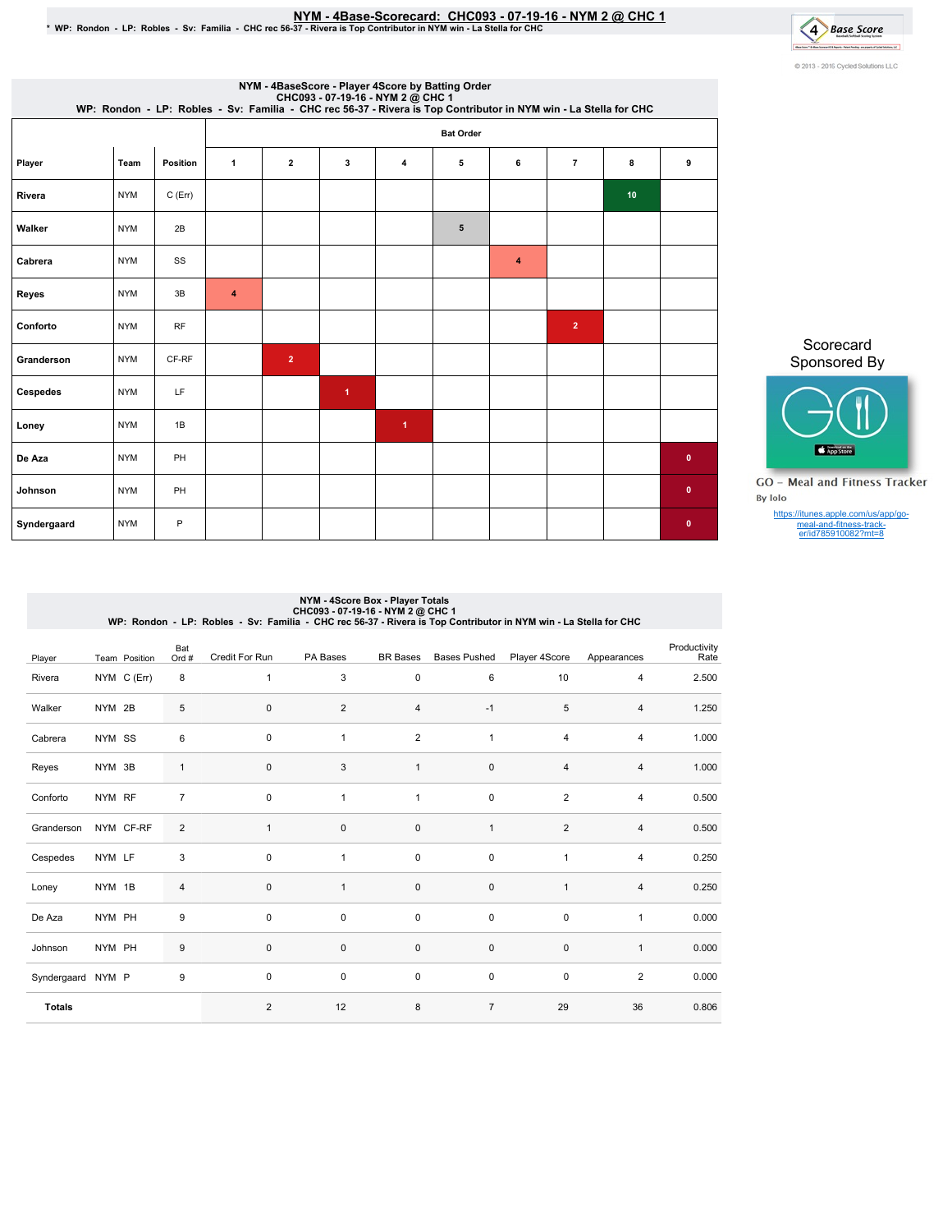## NYM - 4Base-Scorecard: CHC093 - 07-19-16 - NYM 2 @ CHC 1 يوم NYM - 4Base-Scorecard: CHC093 - 07-19-16<br>WP: Rondon - LP: Robles - Sv: Familia - CHC rec 56-37 - Rivera is Top Contributor in NYM win - La Stella for

4 Base Score to politically and the control of the con-C 2013 - 2016 Cycled Solutions LLC

| NYM - 4BaseScore - Player 4Score by Batting Order<br>CHC093 - 07-19-16 - NYM 2 @ CHC 1<br>WP: Rondon - LP: Robles - Sv: Familia - CHC rec 56-37 - Rivera is Top Contributor in NYM win - La Stella for CHC |            |           |                  |                         |              |                      |   |   |                |                 |              |  |  |
|------------------------------------------------------------------------------------------------------------------------------------------------------------------------------------------------------------|------------|-----------|------------------|-------------------------|--------------|----------------------|---|---|----------------|-----------------|--------------|--|--|
|                                                                                                                                                                                                            |            |           |                  | <b>Bat Order</b>        |              |                      |   |   |                |                 |              |  |  |
| Player                                                                                                                                                                                                     | Team       | Position  | $\mathbf{1}$     | $\overline{\mathbf{2}}$ | 3            | 4                    | 5 | 6 | $\overline{7}$ | 8               | 9            |  |  |
| Rivera                                                                                                                                                                                                     | <b>NYM</b> | $C$ (Err) |                  |                         |              |                      |   |   |                | 10 <sub>1</sub> |              |  |  |
| Walker                                                                                                                                                                                                     | <b>NYM</b> | 2B        |                  |                         |              |                      | 5 |   |                |                 |              |  |  |
| Cabrera                                                                                                                                                                                                    | <b>NYM</b> | SS        |                  |                         |              |                      |   | 4 |                |                 |              |  |  |
| Reyes                                                                                                                                                                                                      | <b>NYM</b> | 3B        | $\boldsymbol{4}$ |                         |              |                      |   |   |                |                 |              |  |  |
| Conforto                                                                                                                                                                                                   | <b>NYM</b> | <b>RF</b> |                  |                         |              |                      |   |   | $\overline{2}$ |                 |              |  |  |
| Granderson                                                                                                                                                                                                 | <b>NYM</b> | CF-RF     |                  | $\overline{2}$          |              |                      |   |   |                |                 |              |  |  |
| Cespedes                                                                                                                                                                                                   | <b>NYM</b> | LF        |                  |                         | $\mathbf{1}$ |                      |   |   |                |                 |              |  |  |
| Loney                                                                                                                                                                                                      | <b>NYM</b> | 1B        |                  |                         |              | $\blacktriangleleft$ |   |   |                |                 |              |  |  |
| De Aza                                                                                                                                                                                                     | <b>NYM</b> | PH        |                  |                         |              |                      |   |   |                |                 | $\mathbf 0$  |  |  |
| Johnson                                                                                                                                                                                                    | <b>NYM</b> | PH        |                  |                         |              |                      |   |   |                |                 | $\mathbf{0}$ |  |  |
| Syndergaard                                                                                                                                                                                                | <b>NYM</b> | P         |                  |                         |              |                      |   |   |                |                 | $\mathbf{0}$ |  |  |

Scorecard Sponsored By



**GO** - Meal and Fitness Tracker By Iolo

https://itunes.apple.com/us/app/go-meal-and-fitness-track-er/id785910082?mt=8

# NYM - 4Score Box - Player Totals<br>CHC093 - 07:19-CHC093 - 07:19-16<br>WP: Rondon - LP: Robles - Sv: Familia - CHC rec 56-37 - Rivera is Top Contributor in NYM win - La Stella for CHC

| Player            |        | Team Position | Bat<br>Ord #   | Credit For Run | PA Bases     | <b>BR</b> Bases | <b>Bases Pushed</b> | Player 4Score  | Appearances    | Productivity<br>Rate |
|-------------------|--------|---------------|----------------|----------------|--------------|-----------------|---------------------|----------------|----------------|----------------------|
| Rivera            |        | NYM C (Err)   | 8              | $\mathbf{1}$   | 3            | 0               | 6                   | 10             | $\overline{4}$ | 2.500                |
| Walker            | NYM 2B |               | 5              | $\mathbf 0$    | 2            | $\overline{4}$  | $-1$                | 5              | 4              | 1.250                |
| Cabrera           | NYM SS |               | 6              | $\mathbf 0$    | 1            | $\overline{2}$  | $\mathbf{1}$        | 4              | 4              | 1.000                |
| Reyes             | NYM 3B |               | $\mathbf{1}$   | 0              | 3            | $\mathbf{1}$    | $\pmb{0}$           | $\overline{4}$ | 4              | 1.000                |
| Conforto          | NYM RF |               | $\overline{7}$ | 0              | 1            | $\mathbf{1}$    | $\pmb{0}$           | $\overline{2}$ | 4              | 0.500                |
| Granderson        |        | NYM CF-RF     | $\overline{c}$ | $\mathbf{1}$   | $\pmb{0}$    | $\pmb{0}$       | $\mathbf{1}$        | $\overline{2}$ | $\sqrt{4}$     | 0.500                |
| Cespedes          | NYM LF |               | $\mathbf{3}$   | 0              | 1            | $\pmb{0}$       | $\pmb{0}$           | $\mathbf{1}$   | $\overline{4}$ | 0.250                |
| Loney             | NYM 1B |               | 4              | 0              | $\mathbf{1}$ | $\pmb{0}$       | $\pmb{0}$           | $\mathbf{1}$   | 4              | 0.250                |
| De Aza            | NYM PH |               | 9              | 0              | $\mathbf 0$  | $\pmb{0}$       | $\pmb{0}$           | $\pmb{0}$      | $\mathbf{1}$   | 0.000                |
| Johnson           | NYM PH |               | $9\,$          | 0              | $\pmb{0}$    | $\pmb{0}$       | $\pmb{0}$           | $\pmb{0}$      | $\mathbf{1}$   | 0.000                |
| Syndergaard NYM P |        |               | 9              | 0              | $\mathbf 0$  | 0               | $\pmb{0}$           | $\pmb{0}$      | $\overline{2}$ | 0.000                |
| <b>Totals</b>     |        |               |                | $\overline{2}$ | 12           | 8               | $\overline{7}$      | 29             | 36             | 0.806                |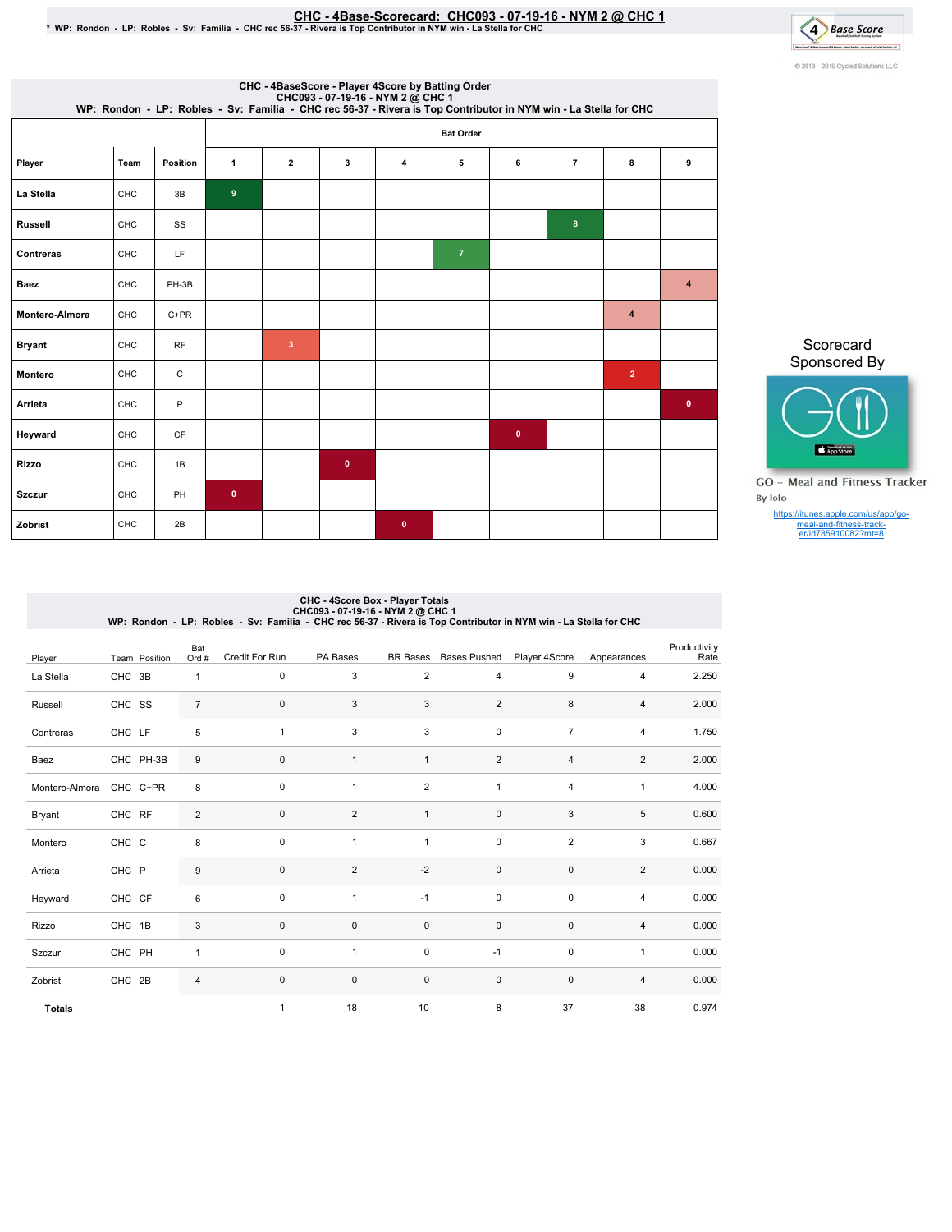CHC - 4Base-Scorecard: CHC093 - 07-19-16 - NYM 2 @ CHC 1 هـ CHC 19-19-16 - NYM<br>• WP: Rondon - LP: Robles - Sv: Familia - CHC rec 56-37 - Rivera is Top Contributor in NYM win - La Stella for CHC



|                       | CHC - 4BaseScore - Player 4Score by Batting Order<br>WP: Rondon - LP: Robles - Sv: Familia - CHC093 - 07-19-16 - NYM 2 @ CHC 1 |           |              |                         |              |              |                  |           |                  |                      |              |  |  |  |
|-----------------------|--------------------------------------------------------------------------------------------------------------------------------|-----------|--------------|-------------------------|--------------|--------------|------------------|-----------|------------------|----------------------|--------------|--|--|--|
|                       |                                                                                                                                |           |              |                         |              |              | <b>Bat Order</b> |           |                  |                      |              |  |  |  |
| Player                | Team                                                                                                                           | Position  | 1            | $\overline{2}$          | 3            | 4            | 5                | 6         | $\overline{7}$   | 8                    | 9            |  |  |  |
| La Stella             | CHC                                                                                                                            | 3B        | 9            |                         |              |              |                  |           |                  |                      |              |  |  |  |
| <b>Russell</b>        | CHC                                                                                                                            | SS        |              |                         |              |              |                  |           | $\boldsymbol{8}$ |                      |              |  |  |  |
| Contreras             | CHC                                                                                                                            | LF        |              |                         |              |              | $\overline{7}$   |           |                  |                      |              |  |  |  |
| <b>Baez</b>           | CHC                                                                                                                            | PH-3B     |              |                         |              |              |                  |           |                  |                      | 4            |  |  |  |
| <b>Montero-Almora</b> | CHC                                                                                                                            | $C+PR$    |              |                         |              |              |                  |           |                  | $\blacktriangleleft$ |              |  |  |  |
| <b>Bryant</b>         | CHC                                                                                                                            | <b>RF</b> |              | $\overline{\mathbf{3}}$ |              |              |                  |           |                  |                      |              |  |  |  |
| Montero               | <b>CHC</b>                                                                                                                     | С         |              |                         |              |              |                  |           |                  | $\overline{2}$       |              |  |  |  |
| Arrieta               | CHC                                                                                                                            | P         |              |                         |              |              |                  |           |                  |                      | $\mathbf{0}$ |  |  |  |
| Heyward               | CHC                                                                                                                            | CF        |              |                         |              |              |                  | $\bullet$ |                  |                      |              |  |  |  |
| Rizzo                 | CHC                                                                                                                            | 1B        |              |                         | $\mathbf{0}$ |              |                  |           |                  |                      |              |  |  |  |
| <b>Szczur</b>         | CHC                                                                                                                            | PH        | $\mathbf{0}$ |                         |              |              |                  |           |                  |                      |              |  |  |  |
| Zobrist               | <b>CHC</b>                                                                                                                     | 2B        |              |                         |              | $\mathbf{0}$ |                  |           |                  |                      |              |  |  |  |

Scorecard Sponsored By



**GO** - Meal and Fitness Tracker By Iolo

https://itunes.apple.com/us/app/go-meal-and-fitness-track-er/id785910082?mt=8

## CHC - 4Score Box - Player Totals<br>CHC093 - 07:19-08<br>WP: Rondon - LP: Robles - Sv: Familia - CHC rec 56-37 - Rivera is Top Contributor in NYM win - La Stella for CHC

| Player         | Team Position | Bat<br>Ord #   | Credit For Run | PA Bases       | <b>BR</b> Bases | <b>Bases Pushed</b> | Player 4Score  | Appearances    | Productivity<br>Rate |
|----------------|---------------|----------------|----------------|----------------|-----------------|---------------------|----------------|----------------|----------------------|
| La Stella      | CHC 3B        | $\mathbf{1}$   | 0              | 3              | $\overline{2}$  | 4                   | 9              | $\overline{4}$ | 2.250                |
| Russell        | CHC SS        | $\overline{7}$ | 0              | 3              | 3               | $\overline{2}$      | 8              | $\overline{4}$ | 2.000                |
| Contreras      | CHC LF        | 5              | 1              | 3              | 3               | $\pmb{0}$           | $\overline{7}$ | $\overline{4}$ | 1.750                |
| Baez           | CHC PH-3B     | 9              | 0              | 1              | 1               | $\overline{2}$      | 4              | $\overline{2}$ | 2.000                |
| Montero-Almora | CHC C+PR      | 8              | 0              | $\mathbf{1}$   | $\overline{2}$  | $\mathbf{1}$        | 4              | $\mathbf{1}$   | 4.000                |
| Bryant         | CHC RF        | $\overline{c}$ | $\mathbf 0$    | $\overline{2}$ | $\mathbf{1}$    | $\pmb{0}$           | 3              | $\,$ 5 $\,$    | 0.600                |
| Montero        | CHC C         | 8              | 0              | 1              | 1               | $\pmb{0}$           | $\overline{c}$ | 3              | 0.667                |
| Arrieta        | CHC P         | 9              | 0              | $\overline{2}$ | $-2$            | $\mathsf 0$         | 0              | $\overline{2}$ | 0.000                |
| Heyward        | CHC CF        | 6              | $\mathbf 0$    | $\mathbf{1}$   | $-1$            | $\pmb{0}$           | $\mathbf 0$    | $\overline{4}$ | 0.000                |
| Rizzo          | CHC 1B        | 3              | $\mathsf 0$    | $\mathbf 0$    | $\pmb{0}$       | $\pmb{0}$           | $\mathbf 0$    | $\overline{4}$ | 0.000                |
| Szczur         | CHC PH        | $\mathbf{1}$   | 0              | 1              | $\pmb{0}$       | $-1$                | $\mathbf 0$    | $\mathbf{1}$   | 0.000                |
| Zobrist        | CHC 2B        | 4              | 0              | 0              | $\pmb{0}$       | $\mathbf 0$         | $\mathbf 0$    | $\overline{4}$ | 0.000                |
| <b>Totals</b>  |               |                | 1              | 18             | 10              | 8                   | 37             | 38             | 0.974                |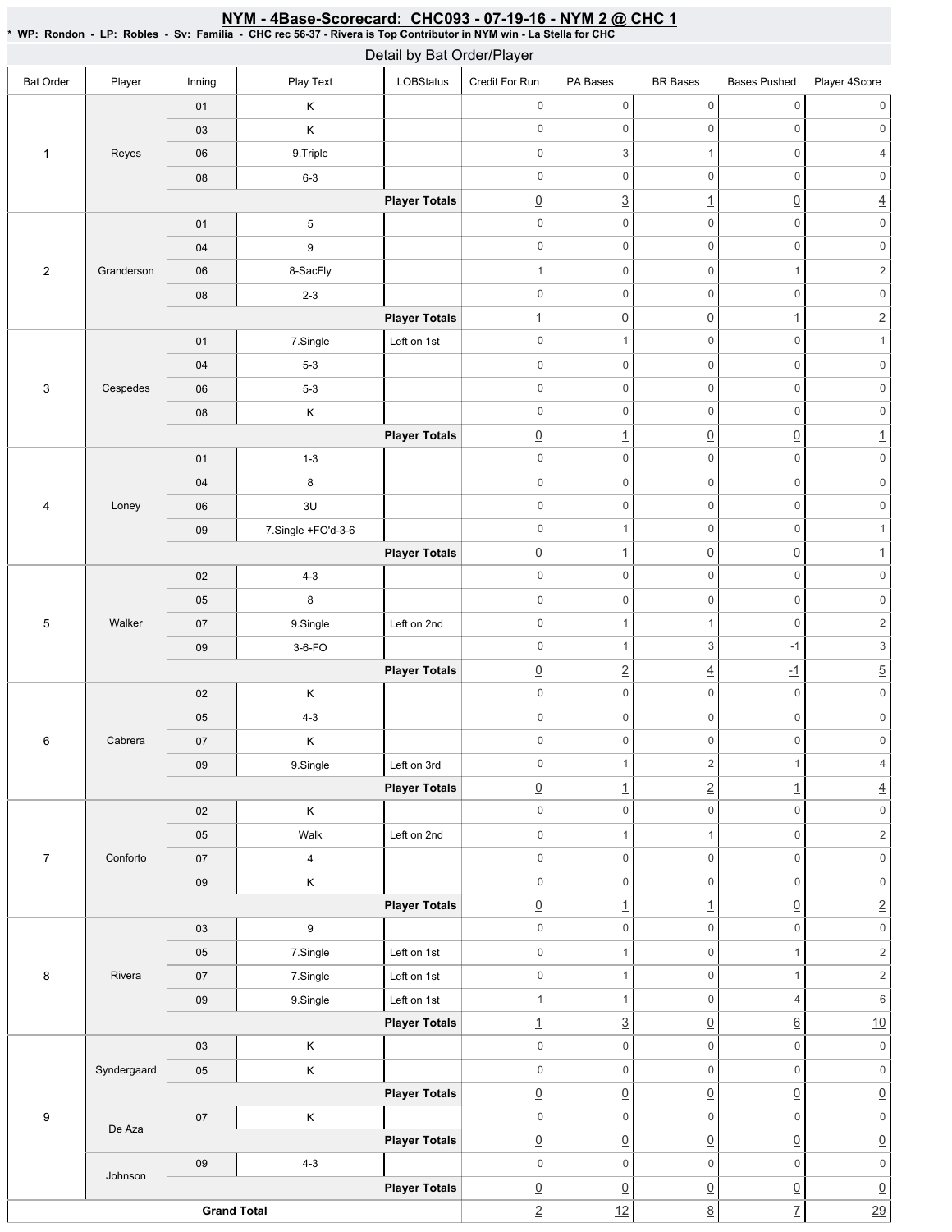| Detail by Bat Order/Player |             |                    |                         |                      |                               |                                       |                                       |                                        |                                       |  |  |  |  |
|----------------------------|-------------|--------------------|-------------------------|----------------------|-------------------------------|---------------------------------------|---------------------------------------|----------------------------------------|---------------------------------------|--|--|--|--|
| <b>Bat Order</b>           | Player      | Inning             | Play Text               | LOBStatus            | Credit For Run                | PA Bases                              | <b>BR</b> Bases                       | <b>Bases Pushed</b>                    | Player 4Score                         |  |  |  |  |
|                            |             | 01                 | Κ                       |                      | $\mathbb O$                   | $\mathsf{O}\xspace$                   | $\mathsf{O}\xspace$                   | 0                                      | $\mathbf 0$                           |  |  |  |  |
|                            |             | 03                 | Κ                       |                      | $\mathbf 0$                   | $\mathsf{O}\xspace$                   | $\mathsf 0$                           | $\mathsf 0$                            | $\mathsf{O}\xspace$                   |  |  |  |  |
| $\mathbf{1}$               | Reyes       | 06                 | 9. Triple               |                      | $\mathbf 0$                   | 3                                     | $\mathbf{1}$                          | $\mathsf 0$                            | $\overline{4}$                        |  |  |  |  |
|                            |             | 08                 | $6 - 3$                 |                      | $\mathbf 0$                   | $\mathsf{O}\xspace$                   | $\mathsf 0$                           | $\mathsf 0$                            | $\mathsf{O}\xspace$                   |  |  |  |  |
|                            |             |                    |                         | <b>Player Totals</b> | $\underline{0}$               | $\underline{3}$                       | $\overline{1}$                        | $\underline{0}$                        | $\overline{4}$                        |  |  |  |  |
|                            |             | 01                 | 5                       |                      | $\mathbf 0$                   | $\mathsf{O}\xspace$                   | $\mathsf{O}\xspace$                   | $\mathsf 0$                            | $\mathsf{O}\xspace$                   |  |  |  |  |
|                            |             | 04                 | 9                       |                      | $\mathbf 0$                   | $\mathsf{O}\xspace$                   | $\mathsf{O}\xspace$                   | $\mathsf 0$                            | $\mathsf{O}\xspace$                   |  |  |  |  |
| $\overline{2}$             | Granderson  | 06                 | 8-SacFly                |                      | $\overline{1}$                | $\mathsf{O}\xspace$                   | $\mathsf 0$                           | $\mathbf{1}$                           | $\sqrt{2}$                            |  |  |  |  |
|                            |             | ${\bf 08}$         | $2 - 3$                 |                      | $\mathbf 0$                   | $\mathsf{O}\xspace$                   | $\mathsf 0$                           | $\mathsf 0$                            | $\mathsf{O}\xspace$                   |  |  |  |  |
|                            |             |                    |                         | <b>Player Totals</b> | $\overline{1}$                | $\underline{0}$                       | $\underline{0}$                       | $\underline{\mathbf{1}}$               | $\underline{2}$                       |  |  |  |  |
|                            |             | 01                 | 7.Single                | Left on 1st          | $\mathbf 0$                   | $\mathbf{1}$                          | $\mathsf{O}\xspace$                   | $\mathbb O$                            | $\mathbf{1}$                          |  |  |  |  |
|                            |             | 04                 | $5 - 3$                 |                      | $\,0\,$                       | $\mathsf{O}\xspace$                   | $\mathsf 0$                           | $\mathbf 0$                            | $\mathbb O$                           |  |  |  |  |
| $\ensuremath{\mathsf{3}}$  | Cespedes    | 06                 | $5 - 3$                 |                      | $\mathbf 0$                   | $\mathsf{O}\xspace$                   | $\mathsf 0$                           | $\mathsf{O}\xspace$                    | $\mathbf 0$                           |  |  |  |  |
|                            |             | ${\bf 08}$         | $\sf K$                 |                      | $\,0\,$                       | $\mathsf{O}\xspace$                   | $\mathsf 0$                           | $\mathsf{O}\xspace$                    | $\mathbf 0$                           |  |  |  |  |
|                            |             |                    |                         | <b>Player Totals</b> | $\underline{0}$               | $\overline{1}$                        | $\underline{0}$                       | $\underline{0}$                        | $\overline{1}$                        |  |  |  |  |
|                            |             | $01$               | $1 - 3$                 |                      | $\,0\,$                       | $\mathsf{O}\xspace$                   | $\mathsf 0$                           | $\mathbb O$                            | $\mathsf{O}\xspace$                   |  |  |  |  |
|                            |             | 04                 | $\bf8$                  |                      | $\mathbf 0$                   | $\mathsf{O}\xspace$                   | $\mathsf{O}\xspace$                   | $\mathsf 0$                            | $\mathsf 0$                           |  |  |  |  |
| $\overline{4}$             | Loney       | 06                 | 3U                      |                      | $\mathbf 0$                   | $\mathsf{O}\xspace$                   | $\mathsf{O}\xspace$                   | $\mathsf 0$                            | $\mathsf{O}\xspace$                   |  |  |  |  |
|                            |             | 09                 | 7.Single +FO'd-3-6      |                      | $\mathsf{O}\xspace$           | $\mathbf{1}$                          | $\mathsf 0$                           | $\mathsf 0$                            | $\mathbf{1}$                          |  |  |  |  |
|                            |             |                    |                         | <b>Player Totals</b> | $\underline{0}$               | $\overline{1}$                        | $\underline{0}$                       | $\underline{0}$                        | $\underline{\mathbf{1}}$              |  |  |  |  |
|                            |             | 02                 | $4 - 3$                 |                      | $\mathsf{O}\xspace$           | $\mathsf{O}\xspace$                   | $\mathsf{O}\xspace$                   | $\mathsf 0$                            | $\mathsf{O}\xspace$                   |  |  |  |  |
|                            |             | 05                 | $\bf8$                  |                      | $\mathsf 0$                   | $\mathsf{O}\xspace$                   | $\mathsf{O}\xspace$                   | $\mathsf 0$                            | $\mathsf{O}\xspace$                   |  |  |  |  |
| 5                          | Walker      | 07                 | 9.Single                | Left on 2nd          | $\mathbf 0$                   | $\mathbf{1}$                          | $\mathbf{1}$                          | $\mathsf 0$                            | $\sqrt{2}$                            |  |  |  |  |
|                            |             | 09                 | $3-6-FO$                |                      | $\mathbf 0$                   | $\mathbf{1}$                          | 3                                     | $-1$                                   | $\ensuremath{\mathsf{3}}$             |  |  |  |  |
|                            |             |                    |                         | <b>Player Totals</b> | $\underline{0}$               | $\overline{2}$                        | $\underline{4}$                       | $-1$                                   | $\overline{5}$                        |  |  |  |  |
|                            |             | $02\,$             | $\sf K$                 |                      | $\mathbf 0$                   | $\mathsf{O}\xspace$                   | $\mathsf{O}\xspace$                   | $\mathbb O$                            | $\mathsf{O}\xspace$                   |  |  |  |  |
|                            | Cabrera     | 05                 | $4 - 3$                 |                      | $\mathbf 0$                   | $\mathsf{O}\xspace$                   | $\mathsf{O}\xspace$                   | $\mathsf 0$                            | $\mathsf{0}$                          |  |  |  |  |
| 6                          |             | 07                 | $\sf K$                 |                      | $\mathsf{O}\xspace$           | $\mathsf{O}\xspace$                   | $\mathsf{O}\xspace$                   | 0                                      | $\Omega$                              |  |  |  |  |
|                            |             | 09                 | 9.Single                | Left on 3rd          | $\mathsf 0$                   | $\mathbf{1}$                          | $\sqrt{2}$                            | $\mathbf{1}$                           | $\overline{4}$                        |  |  |  |  |
|                            |             |                    |                         | <b>Player Totals</b> | $\underline{0}$               | $\overline{1}$                        | $\overline{2}$                        | $\overline{1}$                         | $\overline{4}$                        |  |  |  |  |
|                            |             | $02\,$             | $\mathsf K$             |                      | $\mathbb O$                   | $\mathsf{O}\xspace$                   | 0                                     | $\mathsf 0$                            | $\mathsf{O}\xspace$                   |  |  |  |  |
|                            |             | 05                 | Walk                    | Left on 2nd          | $\mathbf 0$                   | $\mathbf{1}$                          | $\mathbf{1}$                          | $\mathsf 0$                            | $\sqrt{2}$                            |  |  |  |  |
| $\boldsymbol{7}$           | Conforto    | $07\,$             | $\overline{\mathbf{4}}$ |                      | $\mathbf 0$                   | $\mathsf{O}\xspace$                   | $\mathsf 0$                           | $\mathsf 0$                            | $\mathsf{O}\xspace$                   |  |  |  |  |
|                            |             | $09\,$             | $\sf K$                 | <b>Player Totals</b> | $\mathbf 0$                   | $\mathsf{O}\xspace$                   | $\mathsf 0$                           | $\mathsf 0$                            | $\mathsf{O}\xspace$                   |  |  |  |  |
|                            |             | 03                 | 9                       |                      | $\overline{0}$<br>$\mathbf 0$ | $\overline{1}$<br>$\mathsf{O}\xspace$ | $\overline{1}$<br>$\mathsf{O}\xspace$ | $\underline{0}$<br>$\mathsf{O}\xspace$ | $\overline{2}$<br>$\mathsf{O}\xspace$ |  |  |  |  |
|                            |             | 05                 | 7.Single                | Left on 1st          | $\mathbf 0$                   | 1                                     | 0                                     | $\mathbf{1}$                           | $\sqrt{2}$                            |  |  |  |  |
| 8                          | Rivera      | $07\,$             | 7.Single                | Left on 1st          | $\mathbf 0$                   | $\mathbf{1}$                          | $\mathsf 0$                           | $\mathbf{1}$                           | $\sqrt{2}$                            |  |  |  |  |
|                            |             | $09\,$             | 9.Single                | Left on 1st          | $\overline{1}$                | $\mathbf{1}$                          | $\mathsf 0$                           | $\overline{4}$                         | $\,6$                                 |  |  |  |  |
|                            |             |                    |                         | <b>Player Totals</b> | $\overline{1}$                | $\overline{3}$                        | $\underline{0}$                       | $\underline{6}$                        | 10                                    |  |  |  |  |
|                            |             | 03                 | Κ                       |                      | $\mathbf 0$                   | $\mathsf{O}\xspace$                   | $\mathsf{O}\xspace$                   | $\mathbf 0$                            | $\mathsf{O}\xspace$                   |  |  |  |  |
|                            | Syndergaard | 05                 | $\sf K$                 |                      | $\mathbf 0$                   | $\mathsf{O}\xspace$                   | $\mathsf 0$                           | $\mathsf 0$                            | $\mathsf{O}\xspace$                   |  |  |  |  |
|                            |             |                    |                         | <b>Player Totals</b> | $\underline{0}$               | $\underline{0}$                       | $\underline{0}$                       | $\underline{0}$                        | $\underline{0}$                       |  |  |  |  |
| $\boldsymbol{9}$           |             | $07\,$             | $\mathsf K$             |                      | $\mathsf{O}\xspace$           | $\mathsf{O}\xspace$                   | $\mathsf 0$                           | $\mathsf{O}\xspace$                    | $\mathsf{O}\xspace$                   |  |  |  |  |
|                            | De Aza      |                    |                         | <b>Player Totals</b> | $\underline{0}$               | $\underline{0}$                       | $\underline{0}$                       | $\underline{0}$                        | $\underline{0}$                       |  |  |  |  |
|                            |             | 09                 | $4 - 3$                 |                      | $\mathbf 0$                   | $\mathsf{O}\xspace$                   | $\mathsf 0$                           | $\mathsf 0$                            | $\mathsf{O}\xspace$                   |  |  |  |  |
|                            | Johnson     |                    |                         | <b>Player Totals</b> | $\underline{0}$               | $\underline{0}$                       | $\underline{0}$                       | $\underline{0}$                        | $\underline{0}$                       |  |  |  |  |
|                            |             | <b>Grand Total</b> |                         |                      | $\overline{2}$                | 12                                    | $\underline{8}$                       | $\overline{1}$                         | 29                                    |  |  |  |  |

## <u>NYM - 4Base-Scorecard: CHC093 - 07-19-16 - NYM 2 @ CHC 1</u>

\* WP: Rondon - LP: Robles - Sv: Familia - CHC rec 56-37 - Rivera is Top Contributor in NYM win - La Stella for CHC